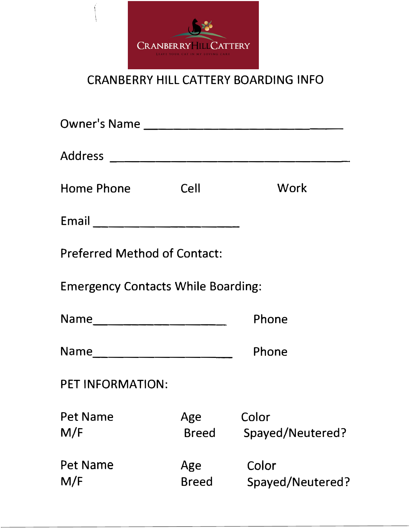

## CRANBERRY HILL CATTERY BOARDING INFO

| Home Phone Cell                           |                     | Work                      |  |  |
|-------------------------------------------|---------------------|---------------------------|--|--|
|                                           |                     |                           |  |  |
| <b>Preferred Method of Contact:</b>       |                     |                           |  |  |
| <b>Emergency Contacts While Boarding:</b> |                     |                           |  |  |
| Name_________________________             |                     | Phone                     |  |  |
| Name___________________________           |                     | Phone                     |  |  |
| PET INFORMATION:                          |                     |                           |  |  |
| <b>Pet Name</b><br>M/F                    | Age<br><b>Breed</b> | Color<br>Spayed/Neutered? |  |  |
| Pet Name<br>M/F                           | Age<br><b>Breed</b> | Color<br>Spayed/Neutered? |  |  |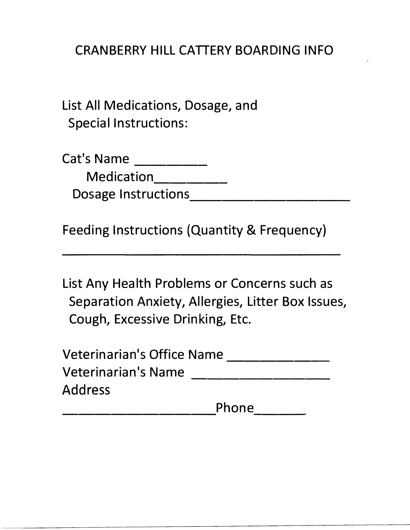## CRANBERRY HILL CATTERY BOARDING INFO

List All Medications, Dosage, and Special Instructions:

Cat's Name \_\_\_\_\_\_\_\_\_ Medication\_\_\_\_\_\_\_\_ Dosage Instructions \_\_\_\_\_\_\_\_\_\_\_\_\_\_\_\_

Feeding Instructions (Quantity & Frequency)

List Any Health Problems or Concerns such as Separation Anxiety, Allergies, Litter Box Issues, Cough, Excessive Drinking, Etc.

| <b>Veterinarian's Office Name</b> |       |  |
|-----------------------------------|-------|--|
| <b>Veterinarian's Name</b>        |       |  |
| <b>Address</b>                    |       |  |
|                                   | Phone |  |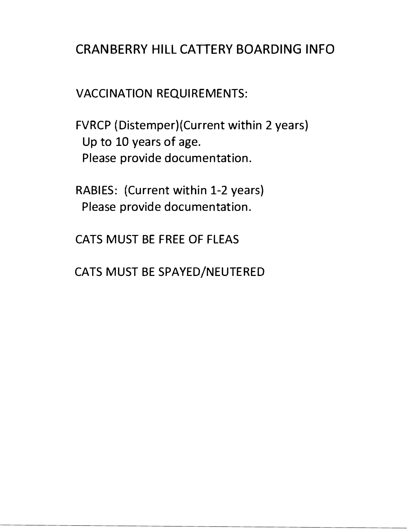## CRANBERRY HILL CATTERY BOARDING INFO

VACCINATION REQUIREMENTS:

FVRCP (Distemper)(Current within 2 years) Up to 10 years of age. Please provide documentation.

RABIES: (Current within 1-2 years) Please provide documentation.

CATS MUST BE FREE OF FLEAS

CATS MUST BE SPAYED/NEUTERED